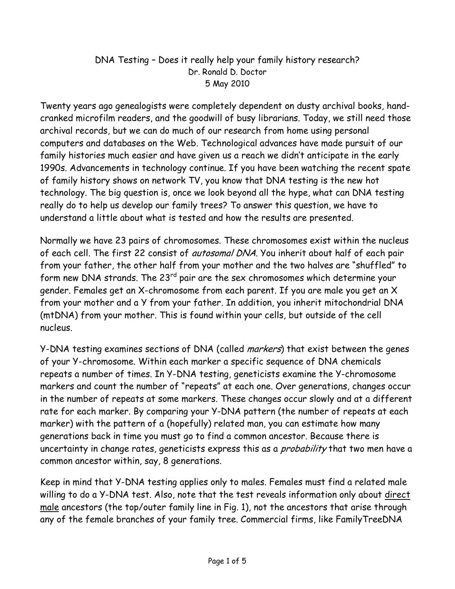## DNA Testing – Does it really help your family history research? Dr. Ronald D. Doctor 5 May 2010

Twenty years ago genealogists were completely dependent on dusty archival books, handcranked microfilm readers, and the goodwill of busy librarians. Today, we still need those archival records, but we can do much of our research from home using personal computers and databases on the Web. Technological advances have made pursuit of our family histories much easier and have given us a reach we didn't anticipate in the early 1990s. Advancements in technology continue. If you have been watching the recent spate of family history shows on network TV, you know that DNA testing is the new hot technology. The big question is, once we look beyond all the hype, what can DNA testing really do to help us develop our family trees? To answer this question, we have to understand a little about what is tested and how the results are presented.

Normally we have 23 pairs of chromosomes. These chromosomes exist within the nucleus of each cell. The first 22 consist of *autosomal DNA*. You inherit about half of each pair from your father, the other half from your mother and the two halves are "shuffled" to form new DNA strands. The 23<sup>rd</sup> pair are the sex chromosomes which determine your gender. Females get an X-chromosome from each parent. If you are male you get an X from your mother and a Y from your father. In addition, you inherit mitochondrial DNA (mtDNA) from your mother. This is found within your cells, but outside of the cell nucleus.

Y-DNA testing examines sections of DNA (called *markers*) that exist between the genes of your Y-chromosome. Within each marker a specific sequence of DNA chemicals repeats a number of times. In Y-DNA testing, geneticists examine the Y-chromosome markers and count the number of "repeats" at each one. Over generations, changes occur in the number of repeats at some markers. These changes occur slowly and at a different rate for each marker. By comparing your Y-DNA pattern (the number of repeats at each marker) with the pattern of a (hopefully) related man, you can estimate how many generations back in time you must go to find a common ancestor. Because there is uncertainty in change rates, geneticists express this as a *probability* that two men have a common ancestor within, say, 8 generations.

Keep in mind that Y-DNA testing applies only to males. Females must find a related male willing to do a Y-DNA test. Also, note that the test reveals information only about direct male ancestors (the top/outer family line in Fig. 1), not the ancestors that arise through any of the female branches of your family tree. Commercial firms, like FamilyTreeDNA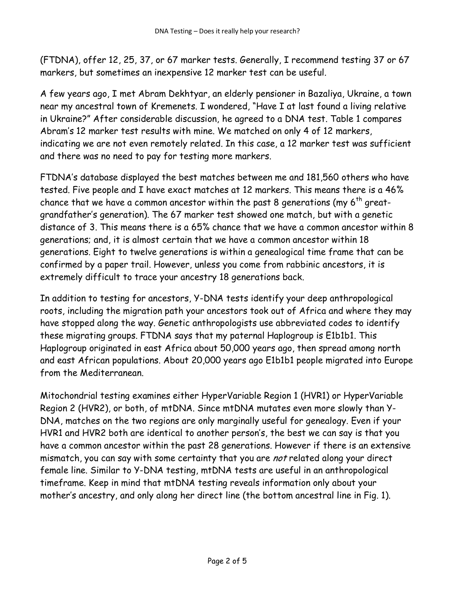(FTDNA), offer 12, 25, 37, or 67 marker tests. Generally, I recommend testing 37 or 67 markers, but sometimes an inexpensive 12 marker test can be useful.

A few years ago, I met Abram Dekhtyar, an elderly pensioner in Bazaliya, Ukraine, a town near my ancestral town of Kremenets. I wondered, "Have I at last found a living relative in Ukraine?" After considerable discussion, he agreed to a DNA test. Table 1 compares Abram's 12 marker test results with mine. We matched on only 4 of 12 markers, indicating we are not even remotely related. In this case, a 12 marker test was sufficient and there was no need to pay for testing more markers.

FTDNA's database displayed the best matches between me and 181,560 others who have tested. Five people and I have exact matches at 12 markers. This means there is a 46% chance that we have a common ancestor within the past 8 generations (my  $6<sup>th</sup>$  greatgrandfather's generation). The 67 marker test showed one match, but with a genetic distance of 3. This means there is a 65% chance that we have a common ancestor within 8 generations; and, it is almost certain that we have a common ancestor within 18 generations. Eight to twelve generations is within a genealogical time frame that can be confirmed by a paper trail. However, unless you come from rabbinic ancestors, it is extremely difficult to trace your ancestry 18 generations back.

In addition to testing for ancestors, Y-DNA tests identify your deep anthropological roots, including the migration path your ancestors took out of Africa and where they may have stopped along the way. Genetic anthropologists use abbreviated codes to identify these migrating groups. FTDNA says that my paternal Haplogroup is E1b1b1. This Haplogroup originated in east Africa about 50,000 years ago, then spread among north and east African populations. About 20,000 years ago E1b1b1 people migrated into Europe from the Mediterranean.

Mitochondrial testing examines either HyperVariable Region 1 (HVR1) or HyperVariable Region 2 (HVR2), or both, of mtDNA. Since mtDNA mutates even more slowly than Y-DNA, matches on the two regions are only marginally useful for genealogy. Even if your HVR1 and HVR2 both are identical to another person's, the best we can say is that you have a common ancestor within the past 28 generations. However if there is an extensive mismatch, you can say with some certainty that you are not related along your direct female line. Similar to Y-DNA testing, mtDNA tests are useful in an anthropological timeframe. Keep in mind that mtDNA testing reveals information only about your mother's ancestry, and only along her direct line (the bottom ancestral line in Fig. 1).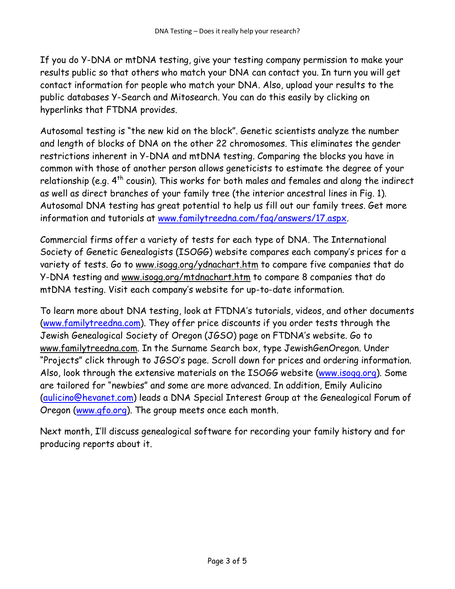If you do Y-DNA or mtDNA testing, give your testing company permission to make your results public so that others who match your DNA can contact you. In turn you will get contact information for people who match your DNA. Also, upload your results to the public databases Y-Search and Mitosearch. You can do this easily by clicking on hyperlinks that FTDNA provides.

Autosomal testing is "the new kid on the block". Genetic scientists analyze the number and length of blocks of DNA on the other 22 chromosomes. This eliminates the gender restrictions inherent in Y-DNA and mtDNA testing. Comparing the blocks you have in common with those of another person allows geneticists to estimate the degree of your relationship (e.g.  $4^{th}$  cousin). This works for both males and females and along the indirect as well as direct branches of your family tree (the interior ancestral lines in Fig. 1). Autosomal DNA testing has great potential to help us fill out our family trees. Get more information and tutorials at www.familytreedna.com/faq/answers/17.aspx.

Commercial firms offer a variety of tests for each type of DNA. The International Society of Genetic Genealogists (ISOGG) website compares each company's prices for a variety of tests. Go to www.isogg.org/ydnachart.htm to compare five companies that do Y-DNA testing and www.isogg.org/mtdnachart.htm to compare 8 companies that do mtDNA testing. Visit each company's website for up-to-date information.

To learn more about DNA testing, look at FTDNA's tutorials, videos, and other documents (www.familytreedna.com). They offer price discounts if you order tests through the Jewish Genealogical Society of Oregon (JGSO) page on FTDNA's website. Go to www.familytreedna.com. In the Surname Search box, type JewishGenOregon. Under "Projects" click through to JGSO's page. Scroll down for prices and ordering information. Also, look through the extensive materials on the ISOGG website (www.isogg.org). Some are tailored for "newbies" and some are more advanced. In addition, Emily Aulicino (aulicino@hevanet.com) leads a DNA Special Interest Group at the Genealogical Forum of Oregon (www.gfo.org). The group meets once each month.

Next month, I'll discuss genealogical software for recording your family history and for producing reports about it.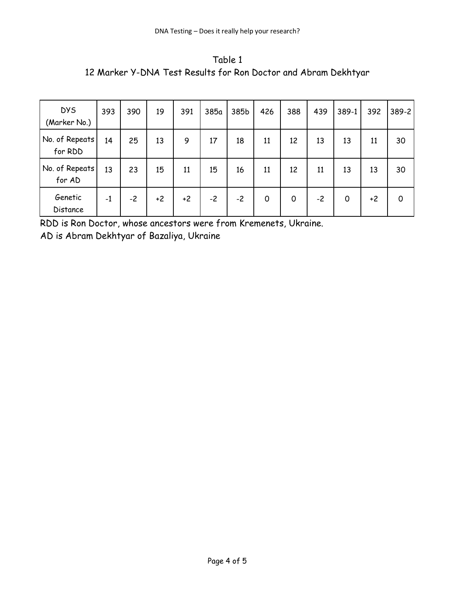Table 1 12 Marker Y-DNA Test Results for Ron Doctor and Abram Dekhtyar

| <b>DYS</b><br>(Marker No.) | 393  | 390  | 19   | 391  | 385a | 385b | 426         | 388 | 439  | 389-1 | 392  | 389-2 |
|----------------------------|------|------|------|------|------|------|-------------|-----|------|-------|------|-------|
| No. of Repeats!<br>for RDD | 14   | 25   | 13   | 9    | 17   | 18   | 11          | 12  | 13   | 13    | 11   | 30    |
| No. of Repeats<br>for AD   | 13   | 23   | 15   | 11   | 15   | 16   | 11          | 12  | 11   | 13    | 13   | 30    |
| Genetic<br>Distance        | $-1$ | $-2$ | $+2$ | $+2$ | $-2$ | $-2$ | $\mathbf 0$ | 0   | $-2$ | 0     | $+2$ | 0     |

RDD is Ron Doctor, whose ancestors were from Kremenets, Ukraine. AD is Abram Dekhtyar of Bazaliya, Ukraine